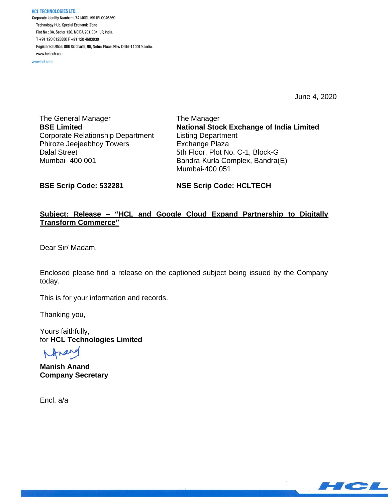HCL TECHNOLOGIES LTD. Corporate Identity Number: L74140DL1991PLC046369 Technology Hub, Special Economic Zone Plot No: 3A, Sector 126, NOIDA 201 304, UP, India. T+91 120 6125000 F+91 120 4683030 Registered Office: 806 Siddharth, 96, Nehru Place, New Delhi-110019, India. www.hcltech.com

www.hcl.com

June 4, 2020

The General Manager **BSE Limited** Corporate Relationship Department Phiroze Jeejeebhoy Towers Dalal Street Mumbai- 400 001

The Manager **National Stock Exchange of India Limited** Listing Department Exchange Plaza 5th Floor, Plot No. C-1, Block-G Bandra-Kurla Complex, Bandra(E) Mumbai-400 051

**BSE Scrip Code: 532281**

**NSE Scrip Code: HCLTECH**

## **Subject: Release – "HCL and Google Cloud Expand Partnership to Digitally Transform Commerce"**

Dear Sir/ Madam,

Enclosed please find a release on the captioned subject being issued by the Company today.

This is for your information and records.

Thanking you,

Yours faithfully, for **HCL Technologies Limited**

**Manish Anand Company Secretary**

Encl. a/a

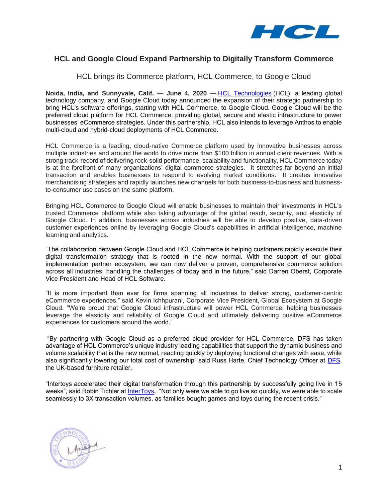

# **HCL and Google Cloud Expand Partnership to Digitally Transform Commerce**

### HCL brings its Commerce platform, HCL Commerce, to Google Cloud

**Noida, India, and Sunnyvale, Calif. — June 4, 2020 —** [HCL Technologies](https://www.hcltech.com/) (HCL), a leading global technology company, and Google Cloud today announced the expansion of their strategic partnership to bring HCL's software offerings, starting with HCL Commerce, to Google Cloud. Google Cloud will be the preferred cloud platform for HCL Commerce, providing global, secure and elastic infrastructure to power businesses' eCommerce strategies. Under this partnership, HCL also intends to leverage Anthos to enable multi-cloud and hybrid-cloud deployments of HCL Commerce.

HCL Commerce is a leading, cloud-native Commerce platform used by innovative businesses across multiple industries and around the world to drive more than \$100 billion in annual client revenues. With a strong track-record of delivering rock-solid performance, scalability and functionality, HCL Commerce today is at the forefront of many organizations' digital commerce strategies. It stretches far beyond an initial transaction and enables businesses to respond to evolving market conditions. It creates innovative merchandising strategies and rapidly launches new channels for both business-to-business and businessto-consumer use cases on the same platform.

Bringing HCL Commerce to Google Cloud will enable businesses to maintain their investments in HCL's trusted Commerce platform while also taking advantage of the global reach, security, and elasticity of Google Cloud. In addition, businesses across industries will be able to develop positive, data-driven customer experiences online by leveraging Google Cloud's capabilities in artificial intelligence, machine learning and analytics.

"The collaboration between Google Cloud and HCL Commerce is helping customers rapidly execute their digital transformation strategy that is rooted in the new normal. With the support of our global implementation partner ecosystem, we can now deliver a proven, comprehensive commerce solution across all industries, handling the challenges of today and in the future," said Darren Oberst, Corporate Vice President and Head of HCL Software.

"It is more important than ever for firms spanning all industries to deliver strong, customer-centric eCommerce experiences," said Kevin Ichhpurani, Corporate Vice President, Global Ecosystem at Google Cloud. "We're proud that Google Cloud infrastructure will power HCL Commerce, helping businesses leverage the elasticity and reliability of Google Cloud and ultimately delivering positive eCommerce experiences for customers around the world."

"By partnering with Google Cloud as a preferred cloud provider for HCL Commerce, DFS has taken advantage of HCL Commerce's unique industry leading capabilities that support the dynamic business and volume scalability that is the new normal, reacting quickly by deploying functional changes with ease, while also significantly lowering our total cost of ownership" said Russ Harte, Chief Technology Officer at [DFS,](http://www.dfs.co.uk/) the UK-based furniture retailer.

"Intertoys accelerated their digital transformation through this partnership by successfully going live in 15 weeks", said Robin Tichler at [InterToys](https://www.intertoys.nl/)*.* "Not only were we able to go live so quickly, we were able to scale seamlessly to 3X transaction volumes, as families bought games and toys during the recent crisis."

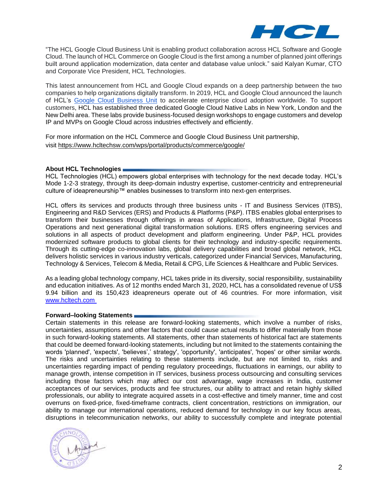

"The HCL Google Cloud Business Unit is enabling product collaboration across HCL Software and Google Cloud. The launch of HCL Commerce on Google Cloud is the first among a number of planned joint offerings built around application modernization, data center and database value unlock." said Kalyan Kumar, CTO and Corporate Vice President, HCL Technologies.

This latest announcement from HCL and Google Cloud expands on a deep partnership between the two companies to help organizations digitally transform. In 2019, HCL and Google Cloud announced the launch of HCL's [Google Cloud Business Unit](https://www.hcltech.com/cloud/google-cloud.) to accelerate enterprise cloud adoption worldwide. To support customers, HCL has established three dedicated Google Cloud Native Labs in New York, London and the New Delhi area. These labs provide business-focused design workshops to engage customers and develop IP and MVPs on Google Cloud across industries effectively and efficiently.

For more information on the HCL Commerce and Google Cloud Business Unit partnership, visit <https://www.hcltechsw.com/wps/portal/products/commerce/google/>

#### **About HCL Technologies**

HCL Technologies (HCL) empowers global enterprises with technology for the next decade today. HCL's Mode 1-2-3 strategy, through its deep-domain industry expertise, customer-centricity and entrepreneurial culture of ideapreneurship™ enables businesses to transform into next-gen enterprises.

HCL offers its services and products through three business units - IT and Business Services (ITBS), Engineering and R&D Services (ERS) and Products & Platforms (P&P). ITBS enables global enterprises to transform their businesses through offerings in areas of Applications, Infrastructure, Digital Process Operations and next generational digital transformation solutions. ERS offers engineering services and solutions in all aspects of product development and platform engineering. Under P&P, HCL provides modernized software products to global clients for their technology and industry-specific requirements. Through its cutting-edge co-innovation labs, global delivery capabilities and broad global network, HCL delivers holistic services in various industry verticals, categorized under Financial Services, Manufacturing, Technology & Services, Telecom & Media, Retail & CPG, Life Sciences & Healthcare and Public Services.

As a leading global technology company, HCL takes pride in its diversity, social responsibility, sustainability and education initiatives. As of 12 months ended March 31, 2020, HCL has a consolidated revenue of US\$ 9.94 billion and its 150,423 ideapreneurs operate out of 46 countries. For more information, visit [www.hcltech.com](http://www.hcltech.com/)

#### **Forward–looking Statements**

Certain statements in this release are forward-looking statements, which involve a number of risks, uncertainties, assumptions and other factors that could cause actual results to differ materially from those in such forward-looking statements. All statements, other than statements of historical fact are statements that could be deemed forward-looking statements, including but not limited to the statements containing the words 'planned', 'expects', 'believes',' strategy', 'opportunity', 'anticipates', 'hopes' or other similar words. The risks and uncertainties relating to these statements include, but are not limited to, risks and uncertainties regarding impact of pending regulatory proceedings, fluctuations in earnings, our ability to manage growth, intense competition in IT services, business process outsourcing and consulting services including those factors which may affect our cost advantage, wage increases in India, customer acceptances of our services, products and fee structures, our ability to attract and retain highly skilled professionals, our ability to integrate acquired assets in a cost-effective and timely manner, time and cost overruns on fixed-price, fixed-timeframe contracts, client concentration, restrictions on immigration, our ability to manage our international operations, reduced demand for technology in our key focus areas, disruptions in telecommunication networks, our ability to successfully complete and integrate potential